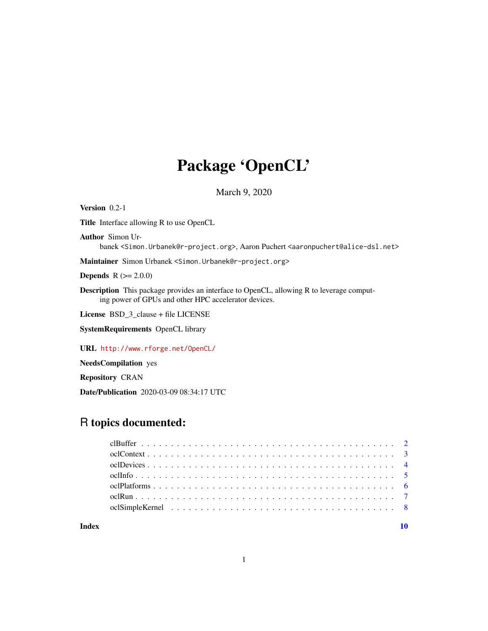## Package 'OpenCL'

March 9, 2020

<span id="page-0-0"></span>Version 0.2-1 Title Interface allowing R to use OpenCL Author Simon Urbanek <Simon.Urbanek@r-project.org>, Aaron Puchert <aaronpuchert@alice-dsl.net> Maintainer Simon Urbanek <Simon.Urbanek@r-project.org> **Depends**  $R (= 2.0.0)$ Description This package provides an interface to OpenCL, allowing R to leverage computing power of GPUs and other HPC accelerator devices. License BSD\_3\_clause + file LICENSE SystemRequirements OpenCL library URL <http://www.rforge.net/OpenCL/>

NeedsCompilation yes

Repository CRAN

Date/Publication 2020-03-09 08:34:17 UTC

## R topics documented:

 $\blacksquare$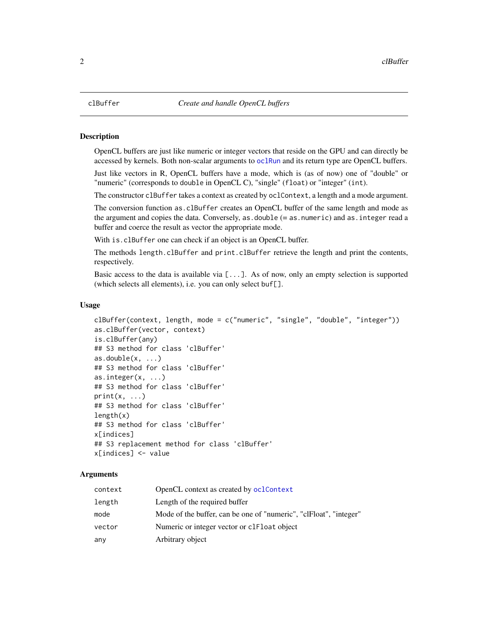## **Description**

OpenCL buffers are just like numeric or integer vectors that reside on the GPU and can directly be accessed by kernels. Both non-scalar arguments to [oclRun](#page-6-1) and its return type are OpenCL buffers.

Just like vectors in R, OpenCL buffers have a mode, which is (as of now) one of "double" or "numeric" (corresponds to double in OpenCL C), "single" (float) or "integer" (int).

The constructor clBuffer takes a context as created by oclContext, a length and a mode argument.

The conversion function as.clBuffer creates an OpenCL buffer of the same length and mode as the argument and copies the data. Conversely, as.double (= as.numeric) and as.integer read a buffer and coerce the result as vector the appropriate mode.

With is.clBuffer one can check if an object is an OpenCL buffer.

The methods length.clBuffer and print.clBuffer retrieve the length and print the contents, respectively.

Basic access to the data is available via  $[\ldots]$ . As of now, only an empty selection is supported (which selects all elements), i.e. you can only select buf[].

## Usage

```
clBuffer(context, length, mode = c("numeric", "single", "double", "integer"))
as.clBuffer(vector, context)
is.clBuffer(any)
## S3 method for class 'clBuffer'
as.double(x, ...)## S3 method for class 'clBuffer'
as.integer(x, ...)
## S3 method for class 'clBuffer'
print(x, \ldots)## S3 method for class 'clBuffer'
length(x)
## S3 method for class 'clBuffer'
x[indices]
## S3 replacement method for class 'clBuffer'
x[indices] <- value
```
## Arguments

| context | OpenCL context as created by oclContext                           |
|---------|-------------------------------------------------------------------|
| length  | Length of the required buffer                                     |
| mode    | Mode of the buffer, can be one of "numeric", "clFloat", "integer" |
| vector  | Numeric or integer vector or clear object                         |
| any     | Arbitrary object                                                  |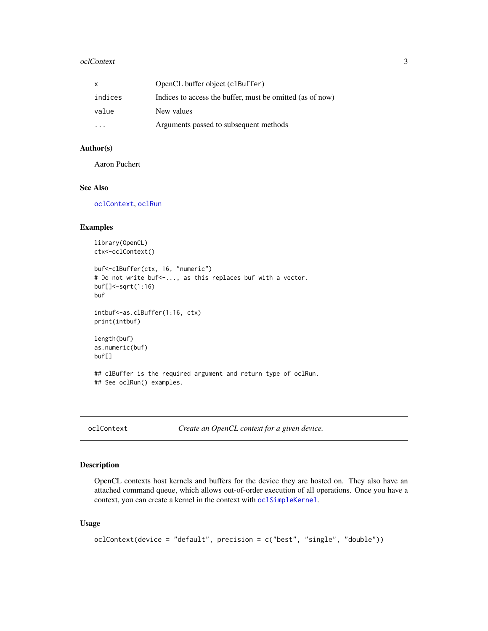#### <span id="page-2-0"></span>oclContext 3

| X                       | OpenCL buffer object (clBuffer)                           |
|-------------------------|-----------------------------------------------------------|
| indices                 | Indices to access the buffer, must be omitted (as of now) |
| value                   | New values                                                |
| $\cdot$ $\cdot$ $\cdot$ | Arguments passed to subsequent methods                    |

## Author(s)

Aaron Puchert

## See Also

[oclContext](#page-2-1), [oclRun](#page-6-1)

## Examples

```
library(OpenCL)
ctx<-oclContext()
buf<-clBuffer(ctx, 16, "numeric")
# Do not write buf<-..., as this replaces buf with a vector.
buf[]<-sqrt(1:16)
buf
```

```
intbuf<-as.clBuffer(1:16, ctx)
print(intbuf)
```

```
length(buf)
as.numeric(buf)
buf[]
```
## clBuffer is the required argument and return type of oclRun. ## See oclRun() examples.

<span id="page-2-1"></span>oclContext *Create an OpenCL context for a given device.*

## Description

OpenCL contexts host kernels and buffers for the device they are hosted on. They also have an attached command queue, which allows out-of-order execution of all operations. Once you have a context, you can create a kernel in the context with [oclSimpleKernel](#page-7-1).

## Usage

```
oclContext(device = "default", precision = c("best", "single", "double"))
```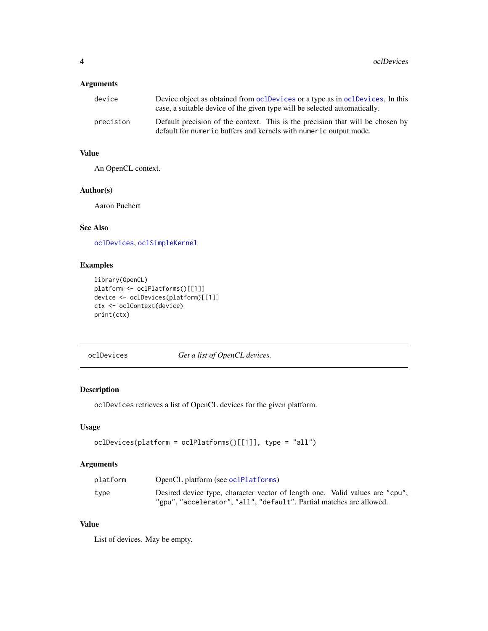## <span id="page-3-0"></span>Arguments

| device    | Device object as obtained from oclDevices or a type as in oclDevices. In this<br>case, a suitable device of the given type will be selected automatically. |
|-----------|------------------------------------------------------------------------------------------------------------------------------------------------------------|
| precision | Default precision of the context. This is the precision that will be chosen by<br>default for numeric buffers and kernels with numeric output mode.        |

## Value

An OpenCL context.

## Author(s)

Aaron Puchert

## See Also

[oclDevices](#page-3-1), [oclSimpleKernel](#page-7-1)

## Examples

```
library(OpenCL)
platform <- oclPlatforms()[[1]]
device <- oclDevices(platform)[[1]]
ctx <- oclContext(device)
print(ctx)
```
<span id="page-3-1"></span>oclDevices *Get a list of OpenCL devices.*

## Description

oclDevices retrieves a list of OpenCL devices for the given platform.

## Usage

```
oclDevices(platform = oclPlatforms()[[1]], type = "all")
```
## Arguments

| platform | OpenCL platform (see oclPlatforms)                                           |
|----------|------------------------------------------------------------------------------|
| type     | Desired device type, character vector of length one. Valid values are "cpu", |
|          | "gpu", "accelerator", "all", "default". Partial matches are allowed.         |

## Value

List of devices. May be empty.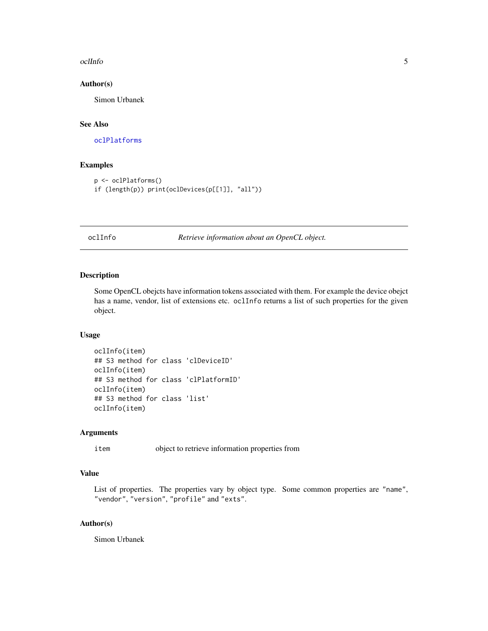#### <span id="page-4-0"></span>oclinfo 5

## Author(s)

Simon Urbanek

## See Also

[oclPlatforms](#page-5-1)

## Examples

```
p <- oclPlatforms()
if (length(p)) print(oclDevices(p[[1]], "all"))
```
oclInfo *Retrieve information about an OpenCL object.*

## Description

Some OpenCL obejcts have information tokens associated with them. For example the device obejct has a name, vendor, list of extensions etc. oclInfo returns a list of such properties for the given object.

## Usage

```
oclInfo(item)
## S3 method for class 'clDeviceID'
oclInfo(item)
## S3 method for class 'clPlatformID'
oclInfo(item)
## S3 method for class 'list'
oclInfo(item)
```
## Arguments

item object to retrieve information properties from

## Value

List of properties. The properties vary by object type. Some common properties are "name", "vendor", "version", "profile" and "exts".

## Author(s)

Simon Urbanek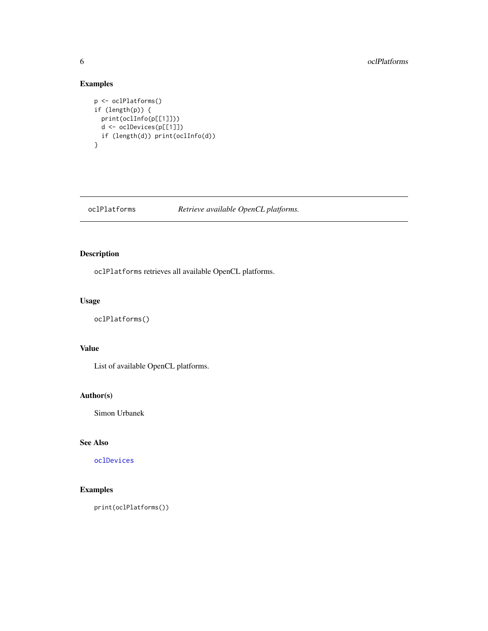## Examples

```
p <- oclPlatforms()
if (length(p)) {
 print(oclInfo(p[[1]]))
 d <- oclDevices(p[[1]])
  if (length(d)) print(oclInfo(d))
}
```
## <span id="page-5-1"></span>oclPlatforms *Retrieve available OpenCL platforms.*

## Description

oclPlatforms retrieves all available OpenCL platforms.

## Usage

oclPlatforms()

## Value

List of available OpenCL platforms.

## Author(s)

Simon Urbanek

## See Also

[oclDevices](#page-3-1)

## Examples

print(oclPlatforms())

<span id="page-5-0"></span>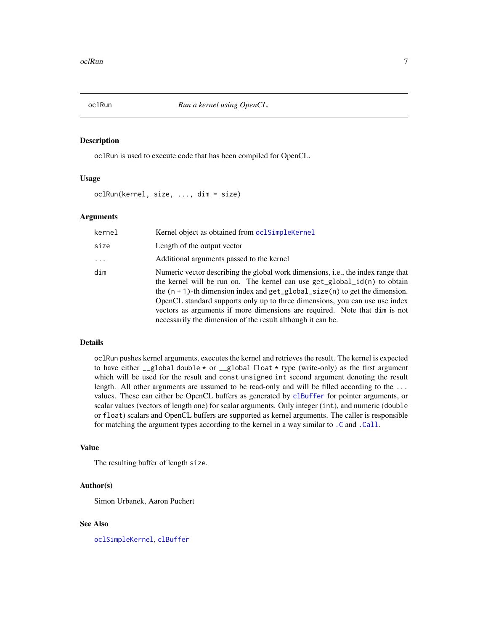<span id="page-6-1"></span><span id="page-6-0"></span>

## Description

oclRun is used to execute code that has been compiled for OpenCL.

## Usage

oclRun(kernel, size, ..., dim = size)

## **Arguments**

| kernel   | Kernel object as obtained from oclSimpleKernel                                                                                                                                                                                                                                                                                                                                                                                                                               |
|----------|------------------------------------------------------------------------------------------------------------------------------------------------------------------------------------------------------------------------------------------------------------------------------------------------------------------------------------------------------------------------------------------------------------------------------------------------------------------------------|
| size     | Length of the output vector                                                                                                                                                                                                                                                                                                                                                                                                                                                  |
| $\cdots$ | Additional arguments passed to the kernel                                                                                                                                                                                                                                                                                                                                                                                                                                    |
| dim      | Numeric vector describing the global work dimensions, i.e., the index range that<br>the kernel will be run on. The kernel can use $get_global_id(n)$ to obtain<br>the $(n + 1)$ -th dimension index and get_global_size(n) to get the dimension.<br>OpenCL standard supports only up to three dimensions, you can use use index<br>vectors as arguments if more dimensions are required. Note that dim is not<br>necessarily the dimension of the result although it can be. |

## Details

oclRun pushes kernel arguments, executes the kernel and retrieves the result. The kernel is expected to have either  $\text{\_global double} * \text{ or } \text{\_global float} * \text{ type (write-only) as the first argument}$ which will be used for the result and const unsigned int second argument denoting the result length. All other arguments are assumed to be read-only and will be filled according to the ... values. These can either be OpenCL buffers as generated by [clBuffer](#page-1-1) for pointer arguments, or scalar values (vectors of length one) for scalar arguments. Only integer (int), and numeric (double or float) scalars and OpenCL buffers are supported as kernel arguments. The caller is responsible for matching the argument types according to the kernel in a way similar to [.C](#page-0-0) and [.Call](#page-0-0).

## Value

The resulting buffer of length size.

## Author(s)

Simon Urbanek, Aaron Puchert

## See Also

[oclSimpleKernel](#page-7-1), [clBuffer](#page-1-1)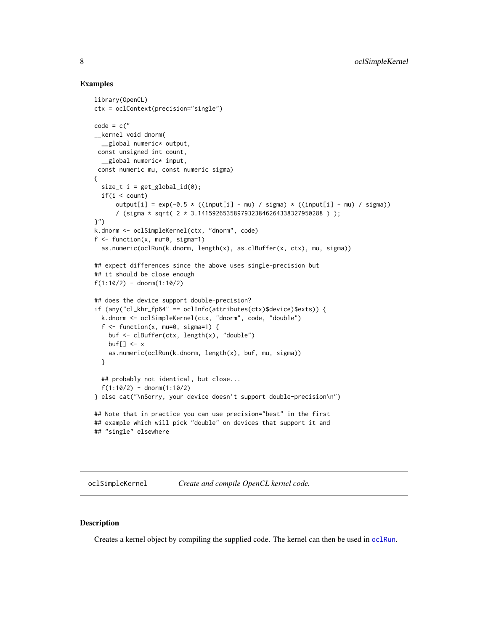## Examples

```
library(OpenCL)
ctx = oclContext(precision="single")
code = c("__kernel void dnorm(
  __global numeric* output,
 const unsigned int count,
  __global numeric* input,
 const numeric mu, const numeric sigma)
{
  size_t i = get_global_id(\emptyset);if(i < count)output[i] = exp(-0.5 * ((input[i] - mu) / sigma) * ((input[i] - mu) / sigma))/ (sigma * sqrt( 2 * 3.14159265358979323846264338327950288 ) );
}")
k.dnorm <- oclSimpleKernel(ctx, "dnorm", code)
f \le function(x, mu=0, sigma=1)
  as.numeric(oclRun(k.dnorm, length(x), as.clBuffer(x, ctx), mu, sigma))
## expect differences since the above uses single-precision but
## it should be close enough
f(1:10/2) - \text{dnorm}(1:10/2)## does the device support double-precision?
if (any("cl_khr_fp64" == oclInfo(attributes(ctx)$device)$exts)) {
  k.dnorm <- oclSimpleKernel(ctx, "dnorm", code, "double")
  f \le function(x, mu=0, sigma=1) {
   buf <- clBuffer(ctx, length(x), "double")
   buf[] \leftarrow x
    as.numeric(oclRun(k.dnorm, length(x), buf, mu, sigma))
  }
  ## probably not identical, but close...
  f(1:10/2) - \text{dnorm}(1:10/2)} else cat("\nSorry, your device doesn't support double-precision\n")
## Note that in practice you can use precision="best" in the first
## example which will pick "double" on devices that support it and
## "single" elsewhere
```
<span id="page-7-1"></span>oclSimpleKernel *Create and compile OpenCL kernel code.*

## Description

Creates a kernel object by compiling the supplied code. The kernel can then be used in [oclRun](#page-6-1).

<span id="page-7-0"></span>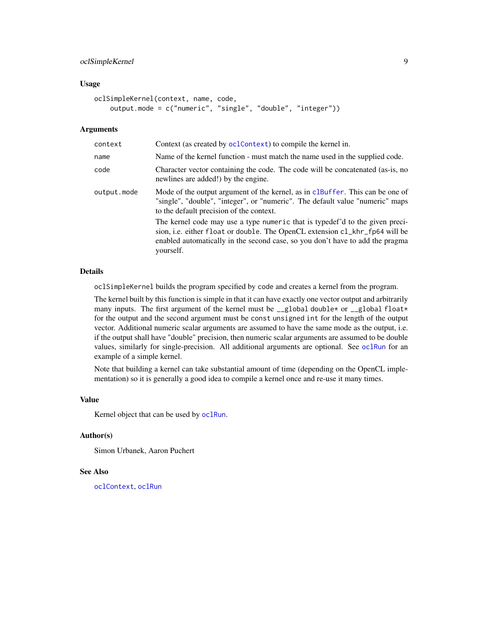## <span id="page-8-0"></span>oclSimpleKernel 9

## Usage

```
oclSimpleKernel(context, name, code,
   output.mode = c("numeric", "single", "double", "integer"))
```
## Arguments

| Context (as created by oclContext) to compile the kernel in.                                                                                                                                                                                              |
|-----------------------------------------------------------------------------------------------------------------------------------------------------------------------------------------------------------------------------------------------------------|
| Name of the kernel function - must match the name used in the supplied code.                                                                                                                                                                              |
| Character vector containing the code. The code will be concatenated (as-is, no<br>newlines are added!) by the engine.                                                                                                                                     |
| Mode of the output argument of the kernel, as in clBuffer. This can be one of<br>"single", "double", "integer", or "numeric". The default value "numeric" maps<br>to the default precision of the context.                                                |
| The kernel code may use a type numeric that is typedef'd to the given preci-<br>sion, i.e. either float or double. The OpenCL extension cl_khr_fp64 will be<br>enabled automatically in the second case, so you don't have to add the pragma<br>yourself. |
|                                                                                                                                                                                                                                                           |

## Details

oclSimpleKernel builds the program specified by code and creates a kernel from the program.

The kernel built by this function is simple in that it can have exactly one vector output and arbitrarily many inputs. The first argument of the kernel must be  $\text{\_global double*}$  or  $\text{\_global float*}$ for the output and the second argument must be const unsigned int for the length of the output vector. Additional numeric scalar arguments are assumed to have the same mode as the output, i.e. if the output shall have "double" precision, then numeric scalar arguments are assumed to be double values, similarly for single-precision. All additional arguments are optional. See [oclRun](#page-6-1) for an example of a simple kernel.

Note that building a kernel can take substantial amount of time (depending on the OpenCL implementation) so it is generally a good idea to compile a kernel once and re-use it many times.

#### Value

Kernel object that can be used by [oclRun](#page-6-1).

#### Author(s)

Simon Urbanek, Aaron Puchert

## See Also

[oclContext](#page-2-1), [oclRun](#page-6-1)